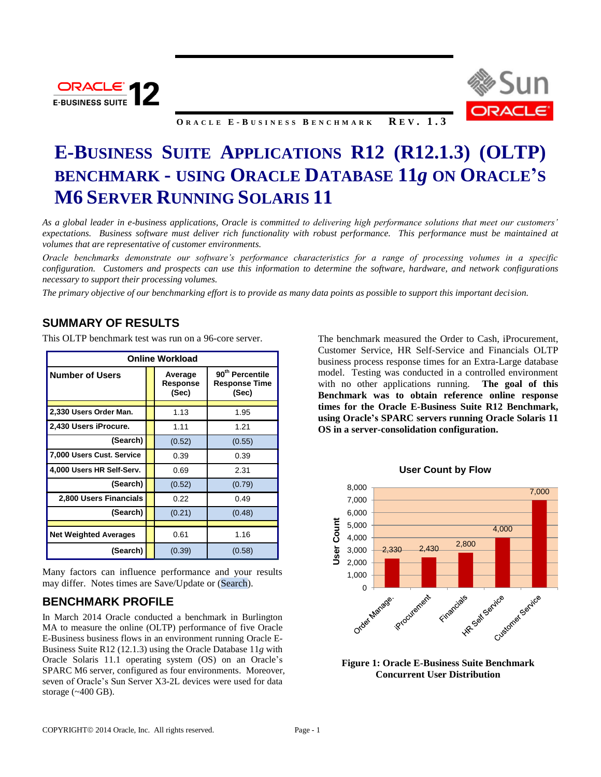



**O R A C L E E - B U S I N E S S B E N C H M A R K R E V . 1 . 3**

# **E-BUSINESS SUITE APPLICATIONS R12 (R12.1.3) (OLTP) BENCHMARK - USING ORACLE DATABASE 11***g* **ON ORACLE'S M6 SERVER RUNNING SOLARIS 11**

*As a global leader in e-business applications, Oracle is committed to delivering high performance solutions that meet our customers' expectations. Business software must deliver rich functionality with robust performance. This performance must be maintained at volumes that are representative of customer environments.* 

*Oracle benchmarks demonstrate our software's performance characteristics for a range of processing volumes in a specific configuration. Customers and prospects can use this information to determine the software, hardware, and network configurations necessary to support their processing volumes.* 

*The primary objective of our benchmarking effort is to provide as many data points as possible to support this important decision.*

## **SUMMARY OF RESULTS**

| <b>Online Workload</b>       |  |                              |                                                       |  |
|------------------------------|--|------------------------------|-------------------------------------------------------|--|
| <b>Number of Users</b>       |  | Average<br>Response<br>(Sec) | 90 <sup>th</sup> Percentile<br>Response Time<br>(Sec) |  |
| 2,330 Users Order Man.       |  | 1.13                         | 1.95                                                  |  |
| 2,430 Users iProcure.        |  | 1.11                         | 1.21                                                  |  |
| (Search)                     |  | (0.52)                       | (0.55)                                                |  |
| 7,000 Users Cust. Service    |  | 0.39                         | 0.39                                                  |  |
| 4,000 Users HR Self-Serv.    |  | 0.69                         | 2.31                                                  |  |
| (Search)                     |  | (0.52)                       | (0.79)                                                |  |
| 2,800 Users Financials       |  | 0.22                         | 0.49                                                  |  |
| (Search)                     |  | (0.21)                       | (0.48)                                                |  |
| <b>Net Weighted Averages</b> |  | 0.61                         | 1.16                                                  |  |
| (Search)                     |  | (0.39)                       | (0.58)                                                |  |

This OLTP benchmark test was run on a 96-core server.

Many factors can influence performance and your results may differ. Notes times are Save/Update or (Search).

# **BENCHMARK PROFILE**

In March 2014 Oracle conducted a benchmark in Burlington MA to measure the online (OLTP) performance of five Oracle E-Business business flows in an environment running Oracle E-Business Suite R12 (12.1.3) using the Oracle Database 11*g* with Oracle Solaris 11.1 operating system (OS) on an Oracle's SPARC M6 server, configured as four environments. Moreover, seven of Oracle's Sun Server X3-2L devices were used for data storage (~400 GB).

The benchmark measured the Order to Cash, iProcurement, Customer Service, HR Self-Service and Financials OLTP business process response times for an Extra-Large database model. Testing was conducted in a controlled environment with no other applications running. **The goal of this Benchmark was to obtain reference online response times for the Oracle E-Business Suite R12 Benchmark, using Oracle's SPARC servers running Oracle Solaris 11 OS in a server-consolidation configuration.** 





**Figure 1: Oracle E-Business Suite Benchmark Concurrent User Distribution**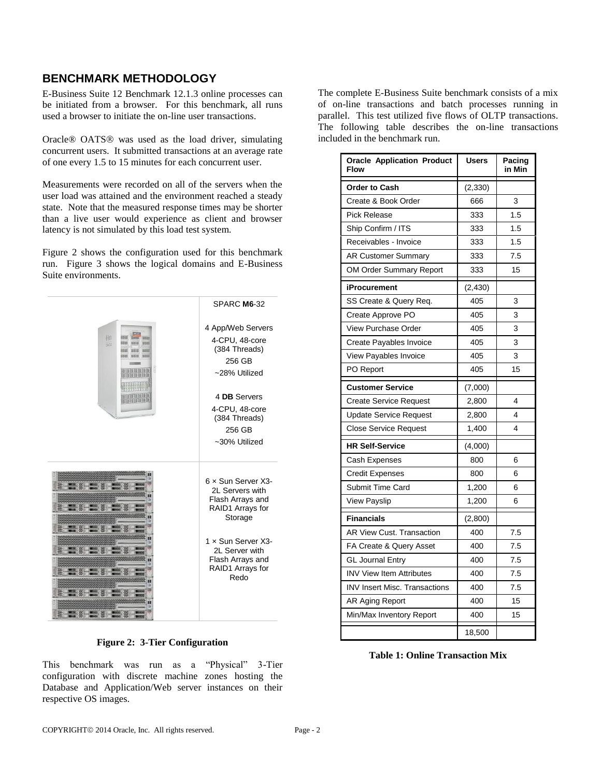# **BENCHMARK METHODOLOGY**

E-Business Suite 12 Benchmark 12.1.3 online processes can be initiated from a browser. For this benchmark, all runs used a browser to initiate the on-line user transactions.

Oracle<sup>®</sup> OATS<sup>®</sup> was used as the load driver, simulating concurrent users. It submitted transactions at an average rate of one every 1.5 to 15 minutes for each concurrent user.

Measurements were recorded on all of the servers when the user load was attained and the environment reached a steady state. Note that the measured response times may be shorter than a live user would experience as client and browser latency is not simulated by this load test system.

Figure 2 shows the configuration used for this benchmark run. Figure 3 shows the logical domains and E-Business Suite environments.



### **Figure 2: 3-Tier Configuration**

This benchmark was run as a "Physical" 3-Tier configuration with discrete machine zones hosting the Database and Application/Web server instances on their respective OS images.

The complete E-Business Suite benchmark consists of a mix of on-line transactions and batch processes running in parallel. This test utilized five flows of OLTP transactions. The following table describes the on-line transactions included in the benchmark run.

| <b>Oracle Application Product</b><br>Flow | <b>Users</b> | Pacing<br>in Min |
|-------------------------------------------|--------------|------------------|
| <b>Order to Cash</b>                      | (2,330)      |                  |
| Create & Book Order                       | 666          | 3                |
| <b>Pick Release</b>                       | 333          | 1.5              |
| Ship Confirm / ITS                        | 333          | 1.5              |
| Receivables - Invoice                     | 333          | 1.5              |
| <b>AR Customer Summary</b>                | 333          | 7.5              |
| OM Order Summary Report                   | 333          | 15               |
| iProcurement                              | (2, 430)     |                  |
| SS Create & Query Req.                    | 405          | 3                |
| Create Approve PO                         | 405          | 3                |
| View Purchase Order                       | 405          | 3                |
| Create Payables Invoice                   | 405          | 3                |
| View Payables Invoice                     | 405          | 3                |
| PO Report                                 | 405          | 15               |
| <b>Customer Service</b>                   | (7,000)      |                  |
| <b>Create Service Request</b>             | 2,800        | 4                |
| <b>Update Service Request</b>             | 2,800        | 4                |
| <b>Close Service Request</b>              | 1,400        | 4                |
| <b>HR Self-Service</b>                    | (4,000)      |                  |
| Cash Expenses                             | 800          | 6                |
| <b>Credit Expenses</b>                    | 800          | 6                |
| <b>Submit Time Card</b>                   | 1,200        | 6                |
| View Payslip                              | 1,200        | 6                |
| <b>Financials</b>                         | (2,800)      |                  |
| AR View Cust. Transaction                 | 400          | 7.5              |
| FA Create & Query Asset                   | 400          | 7.5              |
| <b>GL Journal Entry</b>                   | 400          | 7.5              |
| <b>INV View Item Attributes</b>           | 400          | 7.5              |
| <b>INV Insert Misc. Transactions</b>      | 400          | 7.5              |
| AR Aging Report                           | 400          | 15               |
| Min/Max Inventory Report                  | 400          | 15               |
|                                           | 18,500       |                  |

**Table 1: Online Transaction Mix**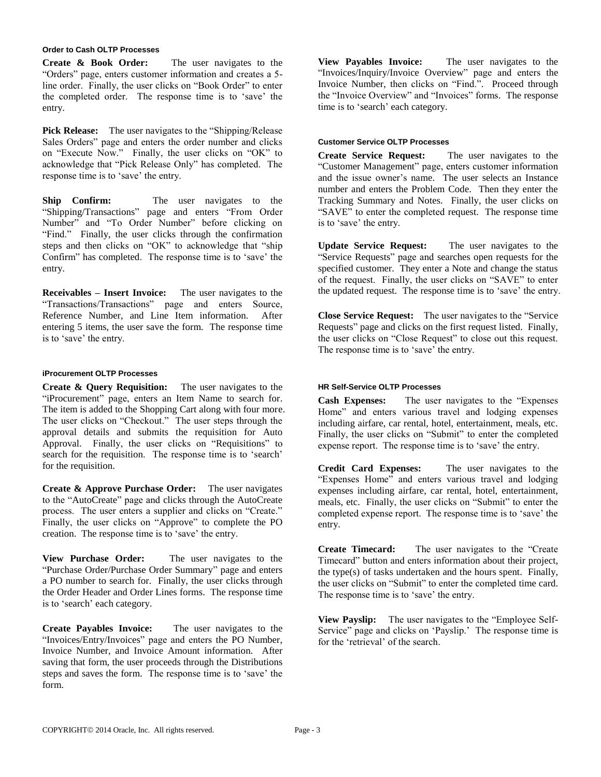#### **Order to Cash OLTP Processes**

**Create & Book Order:** The user navigates to the "Orders" page, enters customer information and creates a 5 line order. Finally, the user clicks on "Book Order" to enter the completed order. The response time is to 'save' the entry.

**Pick Release:** The user navigates to the "Shipping/Release Sales Orders" page and enters the order number and clicks on "Execute Now." Finally, the user clicks on "OK" to acknowledge that "Pick Release Only" has completed. The response time is to 'save' the entry.

**Ship Confirm:** The user navigates to the "Shipping/Transactions" page and enters "From Order Number" and "To Order Number" before clicking on "Find." Finally, the user clicks through the confirmation steps and then clicks on "OK" to acknowledge that "ship Confirm" has completed. The response time is to 'save' the entry.

**Receivables – Insert Invoice:** The user navigates to the "Transactions/Transactions" page and enters Source, Reference Number, and Line Item information. After entering 5 items, the user save the form. The response time is to 'save' the entry.

#### **iProcurement OLTP Processes**

**Create & Query Requisition:** The user navigates to the "iProcurement" page, enters an Item Name to search for. The item is added to the Shopping Cart along with four more. The user clicks on "Checkout." The user steps through the approval details and submits the requisition for Auto Approval. Finally, the user clicks on "Requisitions" to search for the requisition. The response time is to 'search' for the requisition.

**Create & Approve Purchase Order:** The user navigates to the "AutoCreate" page and clicks through the AutoCreate process. The user enters a supplier and clicks on "Create." Finally, the user clicks on "Approve" to complete the PO creation. The response time is to 'save' the entry.

**View Purchase Order:** The user navigates to the "Purchase Order/Purchase Order Summary" page and enters a PO number to search for. Finally, the user clicks through the Order Header and Order Lines forms. The response time is to 'search' each category.

**Create Payables Invoice:** The user navigates to the "Invoices/Entry/Invoices" page and enters the PO Number, Invoice Number, and Invoice Amount information. After saving that form, the user proceeds through the Distributions steps and saves the form. The response time is to 'save' the form.

**View Payables Invoice:** The user navigates to the "Invoices/Inquiry/Invoice Overview" page and enters the Invoice Number, then clicks on "Find.". Proceed through the "Invoice Overview" and "Invoices" forms. The response time is to 'search' each category.

#### **Customer Service OLTP Processes**

**Create Service Request:** The user navigates to the "Customer Management" page, enters customer information and the issue owner's name. The user selects an Instance number and enters the Problem Code. Then they enter the Tracking Summary and Notes. Finally, the user clicks on "SAVE" to enter the completed request. The response time is to 'save' the entry.

**Update Service Request:** The user navigates to the "Service Requests" page and searches open requests for the specified customer. They enter a Note and change the status of the request. Finally, the user clicks on "SAVE" to enter the updated request. The response time is to 'save' the entry.

**Close Service Request:** The user navigates to the "Service Requests" page and clicks on the first request listed. Finally, the user clicks on "Close Request" to close out this request. The response time is to 'save' the entry.

#### **HR Self-Service OLTP Processes**

**Cash Expenses:** The user navigates to the "Expenses Home" and enters various travel and lodging expenses including airfare, car rental, hotel, entertainment, meals, etc. Finally, the user clicks on "Submit" to enter the completed expense report. The response time is to 'save' the entry.

**Credit Card Expenses:** The user navigates to the "Expenses Home" and enters various travel and lodging expenses including airfare, car rental, hotel, entertainment, meals, etc. Finally, the user clicks on "Submit" to enter the completed expense report. The response time is to 'save' the entry.

**Create Timecard:** The user navigates to the "Create Timecard" button and enters information about their project, the type(s) of tasks undertaken and the hours spent. Finally, the user clicks on "Submit" to enter the completed time card. The response time is to 'save' the entry.

**View Payslip:** The user navigates to the "Employee Self-Service" page and clicks on 'Payslip.' The response time is for the 'retrieval' of the search.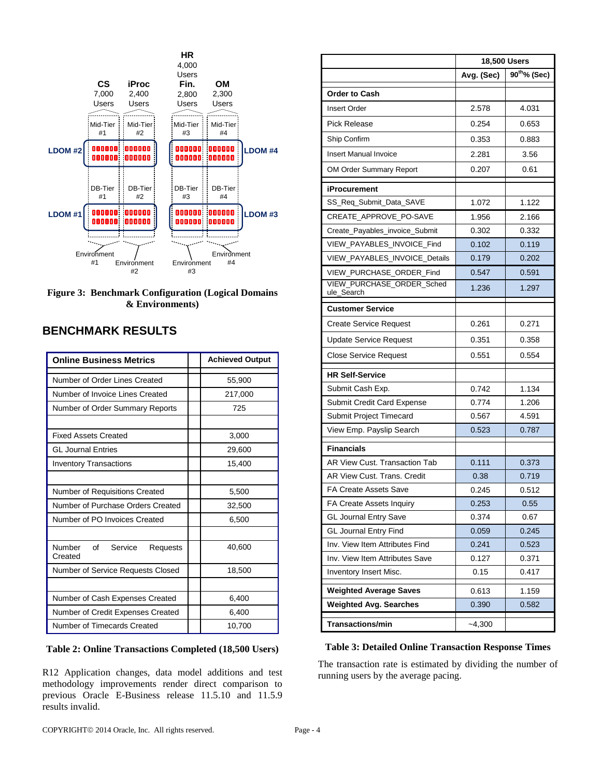

**Figure 3: Benchmark Configuration (Logical Domains & Environments)**

# **BENCHMARK RESULTS**

| <b>Online Business Metrics</b>                 |  | <b>Achieved Output</b> |
|------------------------------------------------|--|------------------------|
| Number of Order Lines Created                  |  | 55,900                 |
| Number of Invoice Lines Created                |  | 217,000                |
| Number of Order Summary Reports                |  | 725                    |
|                                                |  |                        |
| <b>Fixed Assets Created</b>                    |  | 3,000                  |
| <b>GL Journal Entries</b>                      |  | 29,600                 |
| <b>Inventory Transactions</b>                  |  | 15,400                 |
|                                                |  |                        |
| Number of Requisitions Created                 |  | 5,500                  |
| Number of Purchase Orders Created              |  | 32,500                 |
| Number of PO Invoices Created                  |  | 6,500                  |
|                                                |  |                        |
| of<br>Number<br>Service<br>Requests<br>Created |  | 40,600                 |
| Number of Service Requests Closed              |  | 18,500                 |
|                                                |  |                        |
| Number of Cash Expenses Created                |  | 6,400                  |
| Number of Credit Expenses Created              |  | 6,400                  |
| Number of Timecards Created                    |  | 10,700                 |

### **Table 2: Online Transactions Completed (18,500 Users)**

R12 Application changes, data model additions and test methodology improvements render direct comparison to previous Oracle E-Business release 11.5.10 and 11.5.9 results invalid.

|                                         | <b>18,500 Users</b> |                          |  |
|-----------------------------------------|---------------------|--------------------------|--|
|                                         | Avg. (Sec)          | 90 <sup>th</sup> % (Sec) |  |
| <b>Order to Cash</b>                    |                     |                          |  |
| <b>Insert Order</b>                     | 2.578               | 4.031                    |  |
| <b>Pick Release</b>                     | 0.254               | 0.653                    |  |
| Ship Confirm                            | 0.353               | 0.883                    |  |
| <b>Insert Manual Invoice</b>            | 2.281               | 3.56                     |  |
| OM Order Summary Report                 | 0.207               | 0.61                     |  |
| <b>iProcurement</b>                     |                     |                          |  |
| SS_Req_Submit_Data_SAVE                 | 1.072               | 1.122                    |  |
| CREATE APPROVE PO-SAVE                  | 1.956               | 2.166                    |  |
| Create_Payables_invoice_Submit          | 0.302               | 0.332                    |  |
| VIEW_PAYABLES_INVOICE_Find              | 0.102               | 0.119                    |  |
| <b>VIEW PAYABLES INVOICE Details</b>    | 0.179               | 0.202                    |  |
| VIEW_PURCHASE_ORDER_Find                | 0.547               | 0.591                    |  |
| VIEW_PURCHASE_ORDER_Sched<br>ule_Search | 1.236               | 1.297                    |  |
| <b>Customer Service</b>                 |                     |                          |  |
| <b>Create Service Request</b>           | 0.261               | 0.271                    |  |
| <b>Update Service Request</b>           | 0.351               | 0.358                    |  |
| <b>Close Service Request</b>            | 0.551               | 0.554                    |  |
| <b>HR Self-Service</b>                  |                     |                          |  |
| Submit Cash Exp.                        | 0.742               | 1.134                    |  |
| Submit Credit Card Expense              | 0.774               | 1.206                    |  |
| Submit Project Timecard                 | 0.567               | 4.591                    |  |
| View Emp. Payslip Search                | 0.523               | 0.787                    |  |
| <b>Financials</b>                       |                     |                          |  |
| AR View Cust. Transaction Tab           | 0.111               | 0.373                    |  |
| AR View Cust. Trans. Credit             | 0.38                | 0.719                    |  |
| FA Create Assets Save                   | 0.245               | 0.512                    |  |
| FA Create Assets Inquiry                | 0.253               | 0.55                     |  |
| <b>GL Journal Entry Save</b>            | 0.374               | 0.67                     |  |
| <b>GL Journal Entry Find</b>            | 0.059               | 0.245                    |  |
| Inv. View Item Attributes Find          | 0.241               | 0.523                    |  |
| Inv. View Item Attributes Save          | 0.127               | 0.371                    |  |
| Inventory Insert Misc.                  | 0.15                | 0.417                    |  |
| <b>Weighted Average Saves</b>           | 0.613               | 1.159                    |  |
| <b>Weighted Avg. Searches</b>           | 0.390               | 0.582                    |  |
| <b>Transactions/min</b>                 | $-4,300$            |                          |  |

#### **Table 3: Detailed Online Transaction Response Times**

The transaction rate is estimated by dividing the number of running users by the average pacing.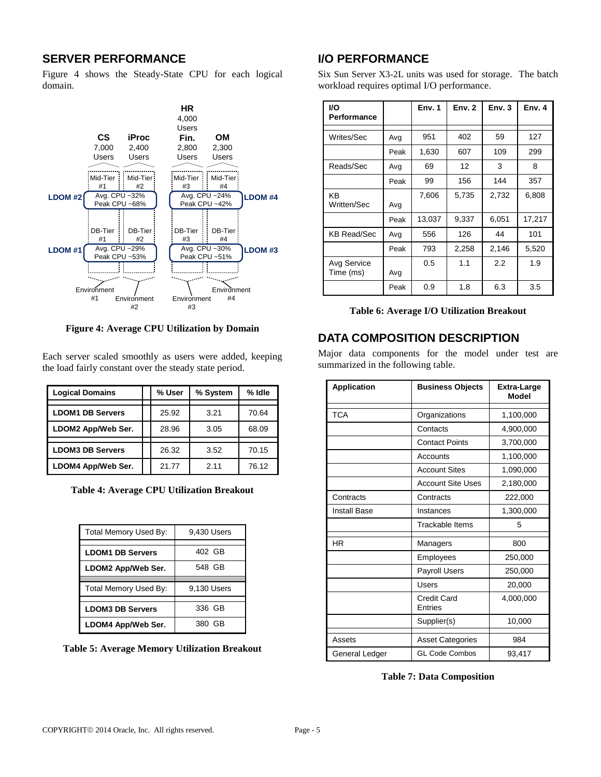# **SERVER PERFORMANCE**

Figure 4 shows the Steady-State CPU for each logical domain.



**Figure 4: Average CPU Utilization by Domain**

Each server scaled smoothly as users were added, keeping the load fairly constant over the steady state period.

| <b>Logical Domains</b>  | % User | % System | % Idle |
|-------------------------|--------|----------|--------|
|                         |        |          |        |
| <b>LDOM1 DB Servers</b> | 25.92  | 3.21     | 70.64  |
| LDOM2 App/Web Ser.      | 28.96  | 3.05     | 68.09  |
|                         |        |          |        |
| <b>LDOM3 DB Servers</b> | 26.32  | 3.52     | 70.15  |
| LDOM4 App/Web Ser.      | 21.77  | 2.11     | 76.12  |

**Table 4: Average CPU Utilization Breakout**

| Total Memory Used By:   | 9,430 Users |
|-------------------------|-------------|
|                         |             |
| <b>LDOM1 DB Servers</b> | 402 GB      |
| LDOM2 App/Web Ser.      | 548 GB      |
|                         |             |
| Total Memory Used By:   | 9,130 Users |
|                         |             |
| <b>LDOM3 DB Servers</b> | 336 GB      |
| LDOM4 App/Web Ser.      | 380 GB      |

**Table 5: Average Memory Utilization Breakout**

# **I/O PERFORMANCE**

Six Sun Server X3-2L units was used for storage. The batch workload requires optimal I/O performance.

| <b>I/O</b><br>Performance |      | Env. 1 | Env.2 | Env.3 | Env. 4 |
|---------------------------|------|--------|-------|-------|--------|
|                           |      |        |       |       |        |
| Writes/Sec                | Avg  | 951    | 402   | 59    | 127    |
|                           | Peak | 1,630  | 607   | 109   | 299    |
| Reads/Sec                 | Avg  | 69     | 12    | 3     | 8      |
|                           | Peak | 99     | 156   | 144   | 357    |
| ΚB<br>Written/Sec         | Avg  | 7,606  | 5,735 | 2,732 | 6,808  |
|                           | Peak | 13,037 | 9,337 | 6,051 | 17,217 |
| KB Read/Sec               | Avg  | 556    | 126   | 44    | 101    |
|                           | Peak | 793    | 2,258 | 2,146 | 5,520  |
| Avg Service<br>Time (ms)  | Avg  | 0.5    | 1.1   | 2.2   | 1.9    |
|                           | Peak | 0.9    | 1.8   | 6.3   | 3.5    |

**Table 6: Average I/O Utilization Breakout**

# **DATA COMPOSITION DESCRIPTION**

Major data components for the model under test are summarized in the following table.

| <b>Application</b>  | <b>Business Objects</b>       | Extra-Large<br><b>Model</b> |
|---------------------|-------------------------------|-----------------------------|
| <b>TCA</b>          | Organizations                 | 1,100,000                   |
|                     | Contacts                      | 4,900,000                   |
|                     | <b>Contact Points</b>         | 3,700,000                   |
|                     | Accounts                      | 1,100,000                   |
|                     | <b>Account Sites</b>          | 1,090,000                   |
|                     | <b>Account Site Uses</b>      | 2,180,000                   |
| Contracts           | Contracts                     | 222,000                     |
| <b>Install Base</b> | Instances                     | 1,300,000                   |
|                     | Trackable Items               | 5                           |
| <b>HR</b>           | Managers                      | 800                         |
|                     | Employees                     | 250,000                     |
|                     | <b>Payroll Users</b>          | 250,000                     |
|                     | Users                         | 20,000                      |
|                     | <b>Credit Card</b><br>Entries | 4,000,000                   |
|                     | Supplier(s)                   | 10,000                      |
| Assets              | <b>Asset Categories</b>       | 984                         |
| General Ledger      | <b>GL Code Combos</b>         | 93,417                      |

### **Table 7: Data Composition**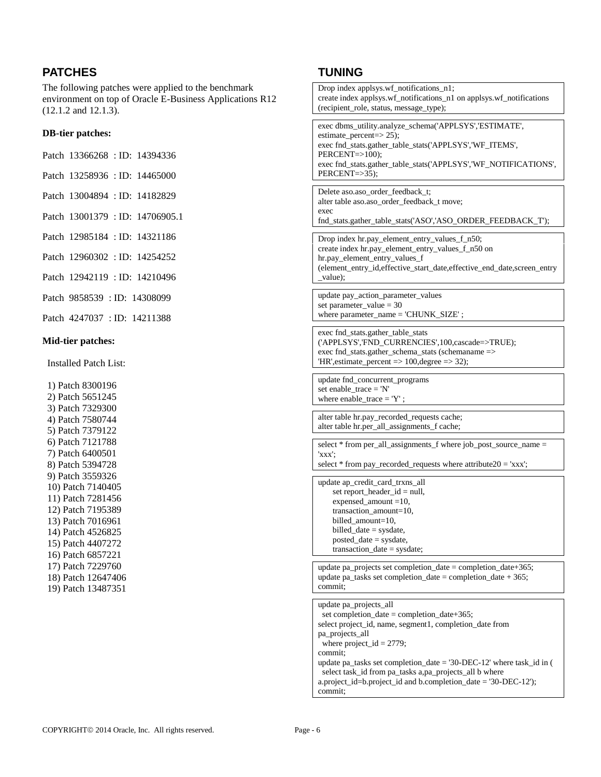# **PATCHES**

The following patches were applied to the benchmark environment on top of Oracle E-Business Applications R12 (12.1.2 and 12.1.3).

### **DB-tier patches:**

| Patch 13366268 : ID: 14394336 |  |
|-------------------------------|--|
|                               |  |

- Patch 13258936 : ID: 14465000
- Patch 13004894 : ID: 14182829
- Patch 13001379 : ID: 14706905.1
- Patch 12985184 : ID: 14321186
- Patch 12960302 : ID: 14254252
- Patch 12942119 : ID: 14210496
- Patch 9858539 : ID: 14308099
- Patch 4247037 : ID: 14211388

#### **Mid-tier patches:**

Installed Patch List:

1) Patch 8300196 2) Patch 5651245 3) Patch 7329300 4) Patch 7580744 5) Patch 7379122 6) Patch 7121788 7) Patch 6400501 8) Patch 5394728 9) Patch 3559326 10) Patch 7140405 11) Patch 7281456 12) Patch 7195389 13) Patch 7016961 14) Patch 4526825 15) Patch 4407272 16) Patch 6857221 17) Patch 7229760 18) Patch 12647406 19) Patch 13487351

## **TUNING**

| Drop index applsys.wf_notifications_n1;<br>create index applsys.wf_notifications_n1 on applsys.wf_notifications<br>(recipient_role, status, message_type);                                                                                                                                                                                                                                                  |  |
|-------------------------------------------------------------------------------------------------------------------------------------------------------------------------------------------------------------------------------------------------------------------------------------------------------------------------------------------------------------------------------------------------------------|--|
| exec dbms_utility.analyze_schema('APPLSYS','ESTIMATE',<br>estimate_percent=>25);<br>exec fnd_stats.gather_table_stats('APPLSYS','WF_ITEMS',<br>$PERCENT=>100$ );<br>exec fnd_stats.gather_table_stats('APPLSYS','WF_NOTIFICATIONS',<br>$PERCENT=>35);$                                                                                                                                                      |  |
| Delete aso.aso_order_feedback_t;<br>alter table aso.aso_order_feedback_t move;<br>exec<br>fnd_stats.gather_table_stats('ASO','ASO_ORDER_FEEDBACK_T');                                                                                                                                                                                                                                                       |  |
| Drop index hr.pay_element_entry_values_f_n50;<br>create index hr.pay_element_entry_values_f_n50 on<br>hr.pay_element_entry_values_f<br>(element_entry_id,effective_start_date,effective_end_date,screen_entry<br>value);                                                                                                                                                                                    |  |
| update pay_action_parameter_values<br>set parameter_value = 30<br>where parameter_name = 'CHUNK_SIZE';                                                                                                                                                                                                                                                                                                      |  |
| exec fnd_stats.gather_table_stats<br>('APPLSYS','FND_CURRENCIES',100,cascade=>TRUE);<br>exec fnd_stats.gather_schema_stats (schemaname =><br>'HR', estimate_percent => $100$ , degree => $32$ );                                                                                                                                                                                                            |  |
| update fnd_concurrent_programs<br>set enable_trace = 'N'<br>where enable_trace = $'Y'$ ;                                                                                                                                                                                                                                                                                                                    |  |
| alter table hr.pay_recorded_requests cache;<br>alter table hr.per_all_assignments_f cache;                                                                                                                                                                                                                                                                                                                  |  |
| select * from per_all_assignments_f where job_post_source_name =<br>XXX:<br>select $*$ from pay_recorded_requests where attribute20 = 'xxx';                                                                                                                                                                                                                                                                |  |
| update ap_credit_card_trxns_all<br>set report_header_id = null,<br>$expensed\_amount = 10,$<br>transaction_amount=10,<br>billed_amount=10,<br>$billed\_date = systate,$<br>$posted_data = systate,$<br>$transaction\_date = sysdate;$                                                                                                                                                                       |  |
| update pa_projects set completion_date = completion_date+365;<br>update pa_tasks set completion_date = completion_date + 365;<br>commit:                                                                                                                                                                                                                                                                    |  |
| update pa_projects_all<br>set completion_date = completion_date+365;<br>select project_id, name, segment1, completion_date from<br>pa_projects_all<br>where $project_id = 2779;$<br>commit;<br>update pa_tasks set completion_date = '30-DEC-12' where task_id in (<br>select task_id from pa_tasks a,pa_projects_all b where<br>a.project_id=b.project_id and b.completion_date = '30-DEC-12');<br>commit: |  |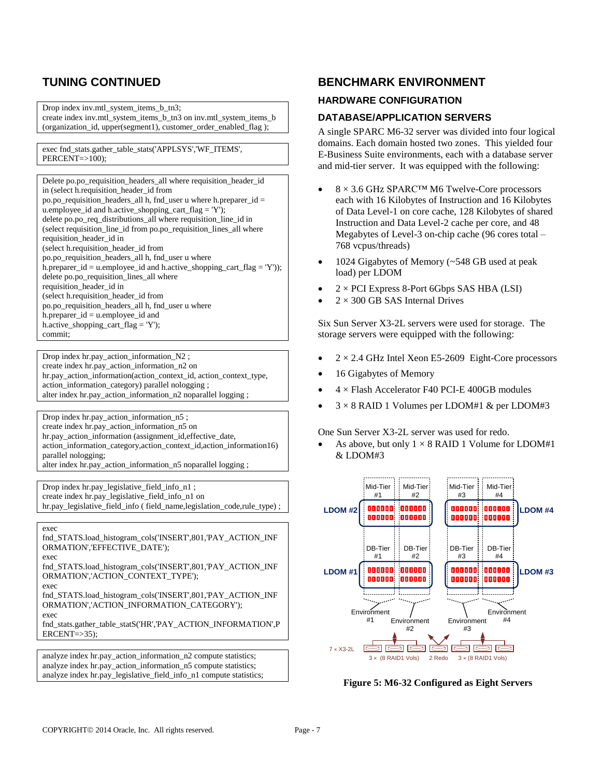# **TUNING CONTINUED**

Drop index inv.mtl\_system\_items\_b\_tn3; create index inv.mtl\_system\_items\_b\_tn3 on inv.mtl\_system\_items\_b (organization\_id, upper(segment1), customer\_order\_enabled\_flag );

exec fnd\_stats.gather\_table\_stats('APPLSYS','WF\_ITEMS', PERCENT=>100);

Delete po.po\_requisition\_headers\_all where requisition\_header\_id in (select h.requisition\_header\_id from po.po\_requisition\_headers\_all h, fnd\_user u where h.preparer\_id = u.employee\_id and h.active\_shopping\_cart\_flag =  $'Y$ ); delete po.po\_req\_distributions\_all where requisition\_line\_id in (select requisition\_line\_id from po.po\_requisition\_lines\_all where requisition\_header\_id in (select h.requisition\_header\_id from po.po\_requisition\_headers\_all h, fnd\_user u where h.preparer\_id = u.employee\_id and h.active\_shopping\_cart\_flag = 'Y')); delete po.po\_requisition\_lines\_all where requisition\_header\_id in (select h.requisition\_header\_id from po.po\_requisition\_headers\_all h, fnd\_user u where h.preparer\_id = u.employee\_id and h.active\_shopping\_cart\_flag = 'Y'); commit;

Drop index hr.pay\_action\_information\_N2 ; create index hr.pay\_action\_information\_n2 on hr.pay action information(action context id, action context type, action\_information\_category) parallel nologging ; alter index hr.pay\_action\_information\_n2 noparallel logging ;

Drop index hr.pay action information  $n5$ ; create index hr.pay\_action\_information\_n5 on hr.pay action information (assignment id, effective date, action\_information\_category,action\_context\_id,action\_information16) parallel nologging; alter index hr.pay\_action\_information\_n5 noparallel logging ;

Drop index hr.pay\_legislative\_field\_info\_n1 ; create index hr.pay\_legislative\_field\_info\_n1 on hr.pay\_legislative\_field\_info ( field\_name,legislation\_code,rule\_type) ;

exec

fnd\_STATS.load\_histogram\_cols('INSERT',801,'PAY\_ACTION\_INF ORMATION','EFFECTIVE\_DATE'); exec

fnd\_STATS.load\_histogram\_cols('INSERT',801,'PAY\_ACTION\_INF ORMATION','ACTION\_CONTEXT\_TYPE');

exec

fnd\_STATS.load\_histogram\_cols('INSERT',801,'PAY\_ACTION\_INF ORMATION','ACTION\_INFORMATION\_CATEGORY'); exec

fnd\_stats.gather\_table\_statS('HR','PAY\_ACTION\_INFORMATION',P  $ERCENT = > 35$ ;

analyze index hr.pay\_action\_information\_n2 compute statistics; analyze index hr.pay action information  $n5$  compute statistics; analyze index hr.pay\_legislative\_field\_info\_n1 compute statistics;

## **BENCHMARK ENVIRONMENT**

### **HARDWARE CONFIGURATION**

### **DATABASE/APPLICATION SERVERS**

A single SPARC M6-32 server was divided into four logical domains. Each domain hosted two zones. This yielded four E-Business Suite environments, each with a database server and mid-tier server. It was equipped with the following:

- 8 × 3.6 GHz SPARC™ M6 Twelve-Core processors each with 16 Kilobytes of Instruction and 16 Kilobytes of Data Level-1 on core cache, 128 Kilobytes of shared Instruction and Data Level-2 cache per core, and 48 Megabytes of Level-3 on-chip cache (96 cores total – 768 vcpus/threads)
- 1024 Gigabytes of Memory (~548 GB used at peak load) per LDOM
- $2 \times$  PCI Express 8-Port 6Gbps SAS HBA (LSI)
- $2 \times 300$  GB SAS Internal Drives

Six Sun Server X3-2L servers were used for storage. The storage servers were equipped with the following:

- $2 \times 2.4$  GHz Intel Xeon E5-2609 Eight-Core processors
- 16 Gigabytes of Memory
- 4 × Flash Accelerator F40 PCI-E 400GB modules
- $3 \times 8$  RAID 1 Volumes per LDOM#1 & per LDOM#3

One Sun Server X3-2L server was used for redo.

As above, but only  $1 \times 8$  RAID 1 Volume for LDOM#1 & LDOM#3



**Figure 5: M6-32 Configured as Eight Servers**